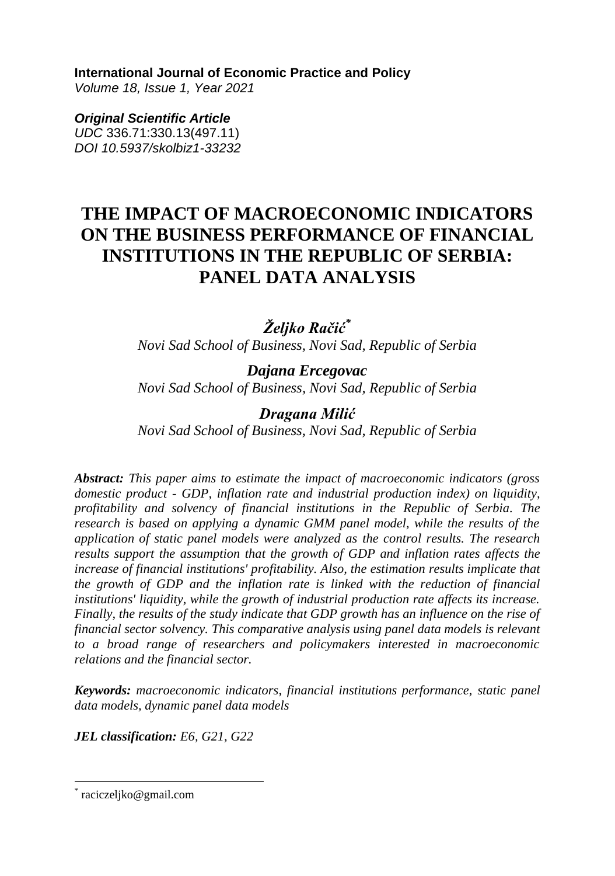**International Journal of Economic Practice and Policy** 

*Volume 18, Issue 1, Year 2021* 

*Original Scientific Article UDC* 336.71:330.13(497.11) *DOI 10.5937/skolbiz1-33232*

# **THE IMPACT OF MACROECONOMIC INDICATORS ON THE BUSINESS PERFORMANCE OF FINANCIAL INSTITUTIONS IN THE REPUBLIC OF SERBIA: PANEL DATA ANALYSIS**

# *Željko Račić\**

*Novi Sad School of Business, Novi Sad, Republic of Serbia*

*Dajana Ercegovac Novi Sad School of Business, Novi Sad, Republic of Serbia*

## *Dragana Milić*

*Novi Sad School of Business, Novi Sad, Republic of Serbia*

*Abstract: This paper aims to estimate the impact of macroeconomic indicators (gross domestic product - GDP, inflation rate and industrial production index) on liquidity, profitability and solvency of financial institutions in the Republic of Serbia. The research is based on applying a dynamic GMM panel model, while the results of the application of static panel models were analyzed as the control results. The research results support the assumption that the growth of GDP and inflation rates affects the increase of financial institutions' profitability. Also, the estimation results implicate that the growth of GDP and the inflation rate is linked with the reduction of financial institutions' liquidity, while the growth of industrial production rate affects its increase. Finally, the results of the study indicate that GDP growth has an influence on the rise of financial sector solvency. This comparative analysis using panel data models is relevant to a broad range of researchers and policymakers interested in macroeconomic relations and the financial sector.* 

*Keywords: macroeconomic indicators, financial institutions performance, static panel data models, dynamic panel data models*

*JEL classification: E6, G21, G22*

\* raciczeljko@gmail.com

 $\overline{a}$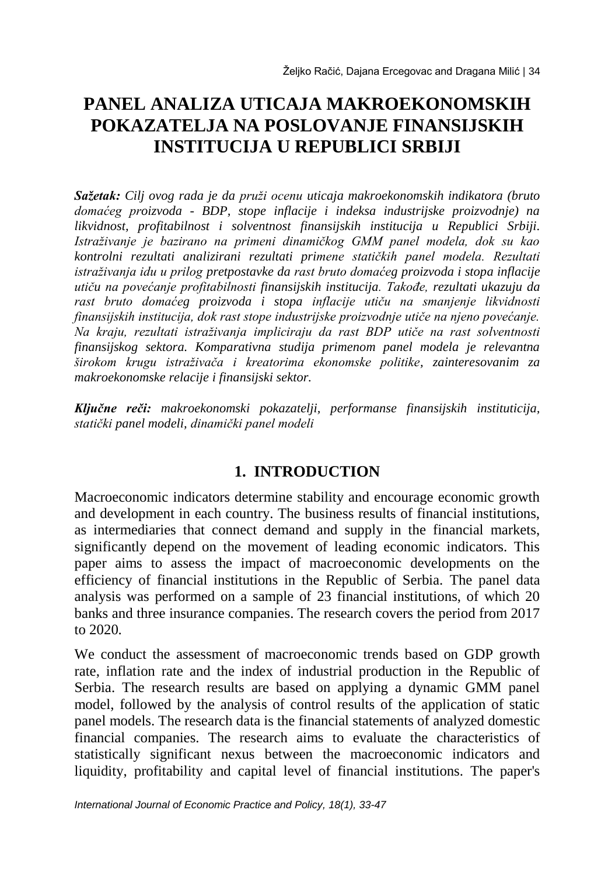# **PANEL ANALIZA UTICAJA MAKROEKONOMSKIH POKAZATELJA NA POSLOVANJE FINANSIJSKIH INSTITUCIJA U REPUBLICI SRBIJI**

*Sažetak: Cilj ovog rada je da pruži ocenu uticaja makroekonomskih indikatora (bruto domaćeg proizvoda - BDP, stope inflacije i indeksa industrijske proizvodnje) na likvidnost, profitabilnost i solventnost finansijskih institucija u Republici Srbiji. Istraživanje je bazirano na primeni dinamičkog GMM panel modela, dok su kao kontrolni rezultati analizirani rezultati primene statičkih panel modela. Rezultati istraživanja idu u prilog pretpostavke da rast bruto domaćeg proizvoda i stopa inflacije utiču na povećanje profitabilnosti finansijskih institucija. Takođe, rezultati ukazuju da rast bruto domaćeg proizvoda i stopa inflacije utiču na smanjenje likvidnosti finansijskih institucija, dok rast stope industrijske proizvodnje utiče na njeno povećanje. Na kraju, rezultati istraživanja impliciraju da rast BDP utiče na rast solventnosti finansijskog sektora. Komparativna studija primenom panel modela je relevantna širokom krugu istraživača i kreatorima ekonomske politike, zainteresovanim za makroekonomske relacije i finansijski sektor.* 

*Ključne reči: makroekonomski pokazatelji, performanse finansijskih instituticija, statički panel modeli, dinamički panel modeli*

## **1. INTRODUCTION**

Macroeconomic indicators determine stability and encourage economic growth and development in each country. The business results of financial institutions, as intermediaries that connect demand and supply in the financial markets, significantly depend on the movement of leading economic indicators. This paper aims to assess the impact of macroeconomic developments on the efficiency of financial institutions in the Republic of Serbia. The panel data analysis was performed on a sample of 23 financial institutions, of which 20 banks and three insurance companies. The research covers the period from 2017 to 2020.

We conduct the assessment of macroeconomic trends based on GDP growth rate, inflation rate and the index of industrial production in the Republic of Serbia. The research results are based on applying a dynamic GMM panel model, followed by the analysis of control results of the application of static panel models. The research data is the financial statements of analyzed domestic financial companies. The research aims to evaluate the characteristics of statistically significant nexus between the macroeconomic indicators and liquidity, profitability and capital level of financial institutions. The paper's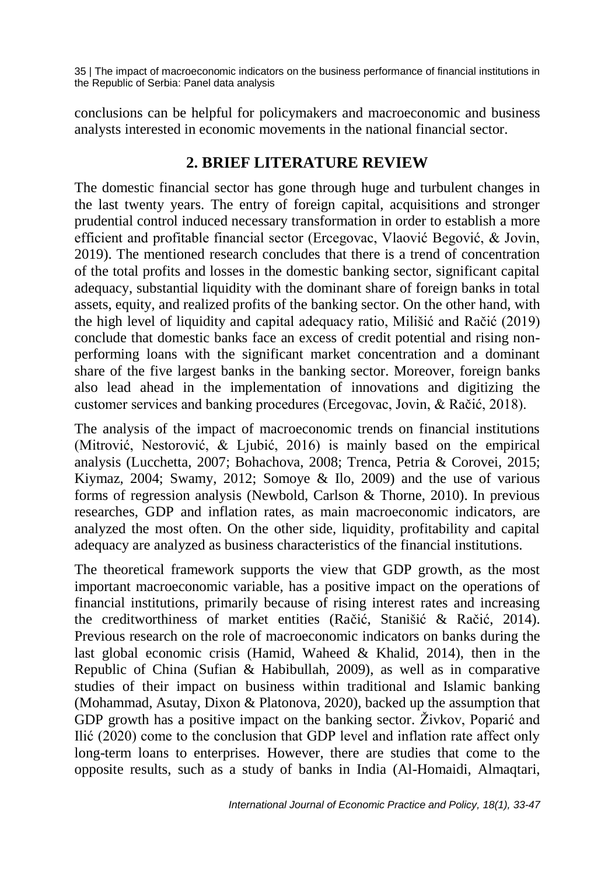conclusions can be helpful for policymakers and macroeconomic and business analysts interested in economic movements in the national financial sector.

## **2. BRIEF LITERATURE REVIEW**

The domestic financial sector has gone through huge and turbulent changes in the last twenty years. The entry of foreign capital, acquisitions and stronger prudential control induced necessary transformation in order to establish a more efficient and profitable financial sector (Ercegovac, Vlaović Begović, & Jovin, 2019). The mentioned research concludes that there is a trend of concentration of the total profits and losses in the domestic banking sector, significant capital adequacy, substantial liquidity with the dominant share of foreign banks in total assets, equity, and realized profits of the banking sector. On the other hand, with the high level of liquidity and capital adequacy ratio, Milišić and Račić (2019) conclude that domestic banks face an excess of credit potential and rising nonperforming loans with the significant market concentration and a dominant share of the five largest banks in the banking sector. Moreover, foreign banks also lead ahead in the implementation of innovations and digitizing the customer services and banking procedures (Ercegovac, Jovin, & Račić, 2018).

The analysis of the impact of macroeconomic trends on financial institutions (Mitrović, Nestorović, & Ljubić, 2016) is mainly based on the empirical analysis (Lucchetta, 2007; Bohachova, 2008; Trenca, Petria & Corovei, 2015; Kiymaz, 2004; Swamy, 2012; Somoye & Ilo, 2009) and the use of various forms of regression analysis (Newbold, Carlson & Thorne, 2010). In previous researches, GDP and inflation rates, as main macroeconomic indicators, are analyzed the most often. On the other side, liquidity, profitability and capital adequacy are analyzed as business characteristics of the financial institutions.

The theoretical framework supports the view that GDP growth, as the most important macroeconomic variable, has a positive impact on the operations of financial institutions, primarily because of rising interest rates and increasing the creditworthiness of market entities (Račić, Stanišić & Račić, 2014). Previous research on the role of macroeconomic indicators on banks during the last global economic crisis (Hamid, Waheed & Khalid, 2014), then in the Republic of China (Sufian & Habibullah, 2009), as well as in comparative studies of their impact on business within traditional and Islamic banking (Mohammad, Asutay, Dixon & Platonova, 2020), backed up the assumption that GDP growth has a positive impact on the banking sector. Živkov, Poparić and Ilić (2020) come to the conclusion that GDP level and inflation rate affect only long-term loans to enterprises. However, there are studies that come to the opposite results, such as a study of banks in India (Al-Homaidi, Almaqtari,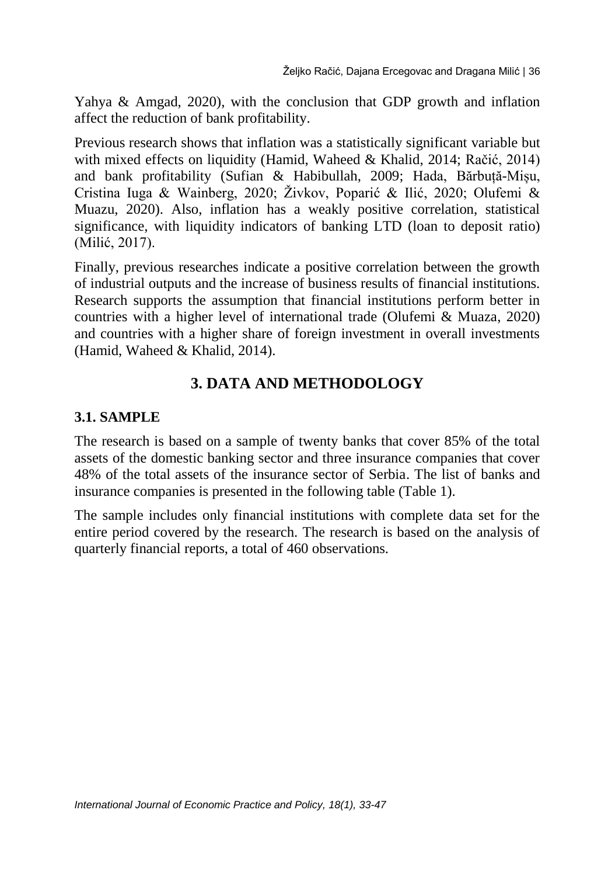Yahya & Amgad, 2020), with the conclusion that GDP growth and inflation affect the reduction of bank profitability.

Previous research shows that inflation was a statistically significant variable but with mixed effects on liquidity (Hamid, Waheed & Khalid, 2014; Račić, 2014) and bank profitability (Sufian & Habibullah, 2009; Hada, Bărbuță-Mișu, Cristina Iuga & Wainberg, 2020; Živkov, Poparić & Ilić, 2020; Olufemi & Muazu, 2020). Also, inflation has a weakly positive correlation, statistical significance, with liquidity indicators of banking LTD (loan to deposit ratio) (Milić, 2017).

Finally, previous researches indicate a positive correlation between the growth of industrial outputs and the increase of business results of financial institutions. Research supports the assumption that financial institutions perform better in countries with a higher level of international trade (Olufemi & Muaza, 2020) and countries with a higher share of foreign investment in overall investments (Hamid, Waheed & Khalid, 2014).

## **3. DATA AND METHODOLOGY**

### **3.1. SAMPLE**

The research is based on a sample of twenty banks that cover 85% of the total assets of the domestic banking sector and three insurance companies that cover 48% of the total assets of the insurance sector of Serbia. The list of banks and insurance companies is presented in the following table (Table 1).

The sample includes only financial institutions with complete data set for the entire period covered by the research. The research is based on the analysis of quarterly financial reports, a total of 460 observations.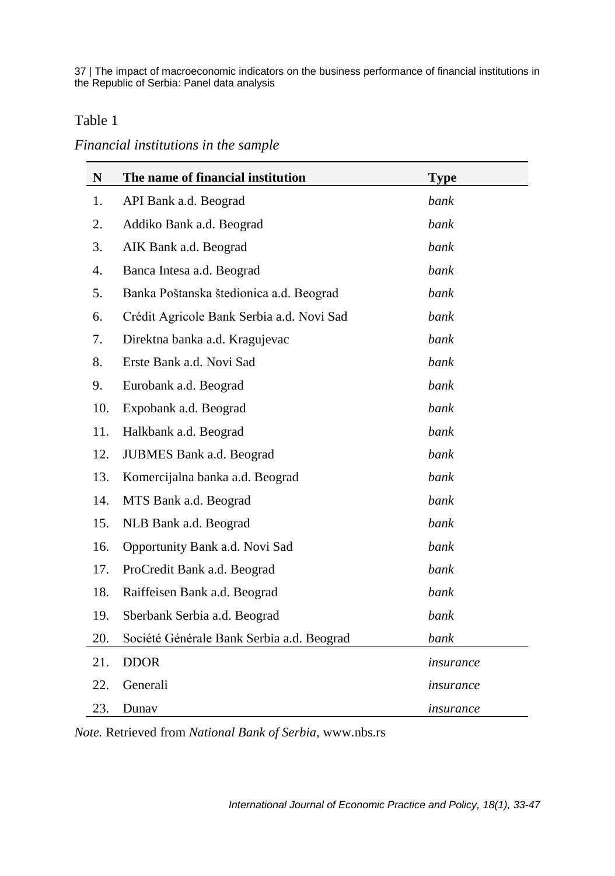#### Table 1

#### *Financial institutions in the sample*

| N   | The name of financial institution         | <b>Type</b> |
|-----|-------------------------------------------|-------------|
| 1.  | API Bank a.d. Beograd                     | bank        |
| 2.  | Addiko Bank a.d. Beograd                  | bank        |
| 3.  | AIK Bank a.d. Beograd                     | bank        |
| 4.  | Banca Intesa a.d. Beograd                 | bank        |
| 5.  | Banka Poštanska štedionica a.d. Beograd   | bank        |
| 6.  | Crédit Agricole Bank Serbia a.d. Novi Sad | bank        |
| 7.  | Direktna banka a.d. Kragujevac            | bank        |
| 8.  | Erste Bank a.d. Novi Sad                  | bank        |
| 9.  | Eurobank a.d. Beograd                     | bank        |
| 10. | Expobank a.d. Beograd                     | bank        |
| 11. | Halkbank a.d. Beograd                     | bank        |
| 12. | JUBMES Bank a.d. Beograd                  | bank        |
| 13. | Komercijalna banka a.d. Beograd           | bank        |
| 14. | MTS Bank a.d. Beograd                     | bank        |
| 15. | NLB Bank a.d. Beograd                     | bank        |
| 16. | Opportunity Bank a.d. Novi Sad            | bank        |
| 17. | ProCredit Bank a.d. Beograd               | bank        |
| 18. | Raiffeisen Bank a.d. Beograd              | bank        |
| 19. | Sberbank Serbia a.d. Beograd              | bank        |
| 20. | Société Générale Bank Serbia a.d. Beograd | bank        |
| 21. | <b>DDOR</b>                               | insurance   |
| 22. | Generali                                  | insurance   |
| 23. | Dunay                                     | insurance   |

*Note.* Retrieved from *National Bank of Serbia*, [www.nbs.rs](http://www.nbs.rs/)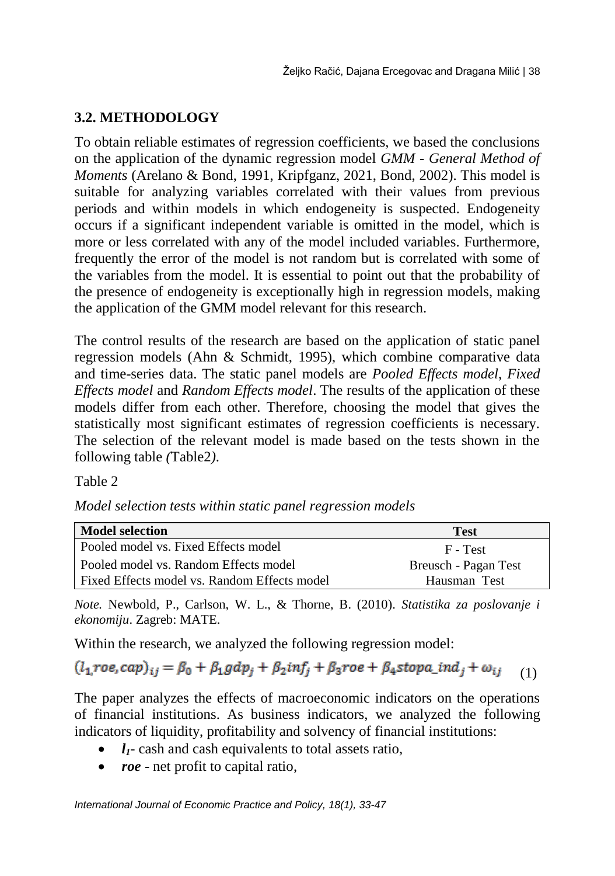## **3.2. METHODOLOGY**

To obtain reliable estimates of regression coefficients, we based the conclusions on the application of the dynamic regression model *GMM - General Method of Moments* (Arelano & Bond, 1991, Kripfganz, 2021, Bond, 2002). This model is suitable for analyzing variables correlated with their values from previous periods and within models in which endogeneity is suspected. Endogeneity occurs if a significant independent variable is omitted in the model, which is more or less correlated with any of the model included variables. Furthermore, frequently the error of the model is not random but is correlated with some of the variables from the model. It is essential to point out that the probability of the presence of endogeneity is exceptionally high in regression models, making the application of the GMM model relevant for this research.

The control results of the research are based on the application of static panel regression models (Ahn & Schmidt, 1995), which combine comparative data and time-series data. The static panel models are *Pooled Effects model*, *Fixed Effects model* and *Random Effects model*. The results of the application of these models differ from each other. Therefore, choosing the model that gives the statistically most significant estimates of regression coefficients is necessary. The selection of the relevant model is made based on the tests shown in the following table *(*Table2*)*.

#### Table 2

| Model selection tests within static panel regression models |  |  |  |  |
|-------------------------------------------------------------|--|--|--|--|
|-------------------------------------------------------------|--|--|--|--|

| <b>Model selection</b>                         | <b>Test</b>          |
|------------------------------------------------|----------------------|
| Pooled model vs. Fixed Effects model           | F - Test             |
| l Pooled model vs. Random Effects model        | Breusch - Pagan Test |
| l Fixed Effects model vs. Random Effects model | Hausman Test         |

*Note.* Newbold, P., Carlson, W. L., & Thorne, B. (2010). *Statistika za poslovanje i ekonomiju*. Zagreb: MATE.

Within the research, we analyzed the following regression model:

```
(l_1, roe, cap)_{ij} = \beta_0 + \beta_1 gdp_j + \beta_2 inf_j + \beta_3 roe + \beta_4 stopa\_ind_j + \omega_{ij} (1)
```
The paper analyzes the effects of macroeconomic indicators on the operations of financial institutions. As business indicators, we analyzed the following indicators of liquidity, profitability and solvency of financial institutions:

- $\bullet$   $l_1$  cash and cash equivalents to total assets ratio,
- *roe* net profit to capital ratio,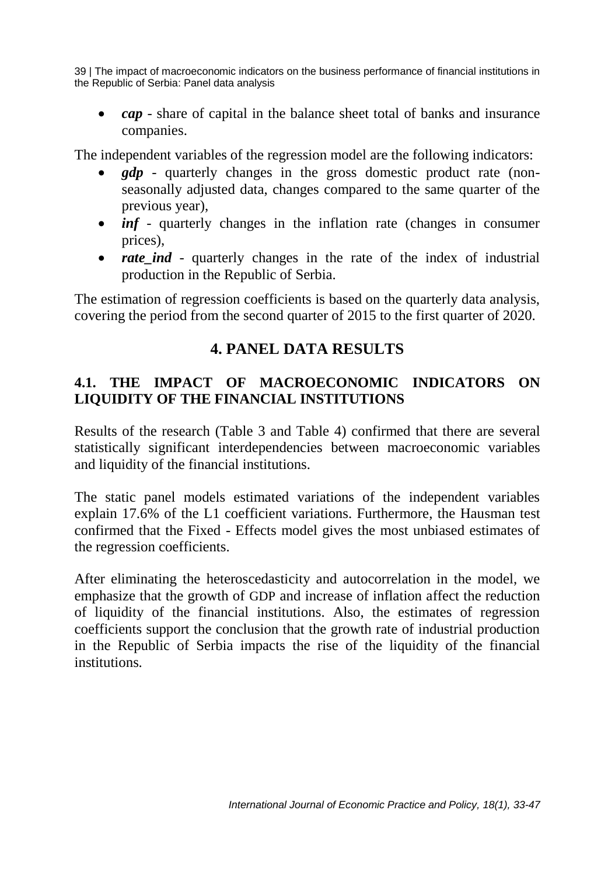*cap* - share of capital in the balance sheet total of banks and insurance companies.

The independent variables of the regression model are the following indicators:

- *gdp* quarterly changes in the gross domestic product rate (nonseasonally adjusted data, changes compared to the same quarter of the previous year),
- *inf* quarterly changes in the inflation rate (changes in consumer prices),
- *rate ind* quarterly changes in the rate of the index of industrial production in the Republic of Serbia.

The estimation of regression coefficients is based on the quarterly data analysis, covering the period from the second quarter of 2015 to the first quarter of 2020.

## **4. PANEL DATA RESULTS**

### **4.1. THE IMPACT OF MACROECONOMIC INDICATORS ON LIQUIDITY OF THE FINANCIAL INSTITUTIONS**

Results of the research (Table 3 and Table 4) confirmed that there are several statistically significant interdependencies between macroeconomic variables and liquidity of the financial institutions.

The static panel models estimated variations of the independent variables explain 17.6% of the L1 coefficient variations. Furthermore, the Hausman test confirmed that the Fixed - Effects model gives the most unbiased estimates of the regression coefficients.

After eliminating the heteroscedasticity and autocorrelation in the model, we emphasize that the growth of GDP and increase of inflation affect the reduction of liquidity of the financial institutions. Also, the estimates of regression coefficients support the conclusion that the growth rate of industrial production in the Republic of Serbia impacts the rise of the liquidity of the financial institutions.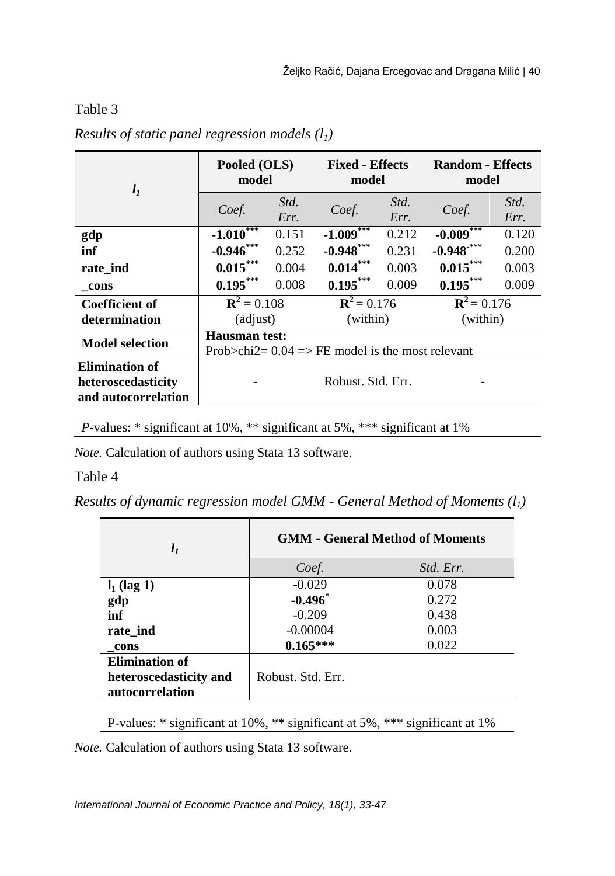#### Table 3

| $l_1$                                                              | Pooled (OLS)<br>model                                                       |              | <b>Fixed - Effects</b><br>model |              | <b>Random - Effects</b><br>model |              |  |
|--------------------------------------------------------------------|-----------------------------------------------------------------------------|--------------|---------------------------------|--------------|----------------------------------|--------------|--|
|                                                                    | Coef.                                                                       | Std.<br>Err. | Coef.                           | Std.<br>Err. | Coef.                            | Std.<br>Err. |  |
| gdp                                                                | $-1.010***$                                                                 | 0.151        | $-1.009***$                     | 0.212        | $-0.009***$                      | 0.120        |  |
| inf                                                                | $-0.946***$                                                                 | 0.252        | $-0.948***$                     | 0.231        | $-0.948$ <sup>***</sup>          | 0.200        |  |
| rate_ind                                                           | $0.015***$                                                                  | 0.004        | $0.014***$                      | 0.003        | $0.015***$                       | 0.003        |  |
| cons                                                               | $0.195***$                                                                  | 0.008        | $0.195***$                      | 0.009        | $0.195***$                       | 0.009        |  |
| <b>Coefficient of</b>                                              | ${\bf R}^2 = 0.108$                                                         |              | ${\bf R}^2 = 0.176$             |              | ${\bf R}^2 = 0.176$              |              |  |
| determination                                                      | (adjust)                                                                    |              | (within)                        |              | (within)                         |              |  |
| <b>Model selection</b>                                             | <b>Hausman test:</b><br>Prob $>$ chi2= 0.04 = FE model is the most relevant |              |                                 |              |                                  |              |  |
| <b>Elimination of</b><br>heteroscedasticity<br>and autocorrelation | Robust, Std. Err.                                                           |              |                                 |              |                                  |              |  |

*Results of static panel regression models (l1)*

*P*-values: \* significant at 10%, \*\* significant at 5%, \*\*\* significant at 1%

*Note.* Calculation of authors using Stata 13 software.

#### Table 4

*Results of dynamic regression model GMM - General Method of Moments (l1)* 

| $l_1$                  | <b>GMM - General Method of Moments</b> |           |  |  |  |
|------------------------|----------------------------------------|-----------|--|--|--|
|                        | Coef.                                  | Std. Err. |  |  |  |
| $l_1$ (lag 1)          | $-0.029$                               | 0.078     |  |  |  |
| gdp                    | $-0.496$                               | 0.272     |  |  |  |
| inf                    | $-0.209$                               | 0.438     |  |  |  |
| rate ind               | $-0.00004$                             | 0.003     |  |  |  |
| cons                   | $0.165***$                             | 0.022     |  |  |  |
| <b>Elimination of</b>  |                                        |           |  |  |  |
| heteroscedasticity and | Robust, Std. Err.                      |           |  |  |  |
| autocorrelation        |                                        |           |  |  |  |

P-values: \* significant at 10%, \*\* significant at 5%, \*\*\* significant at 1%

*Note.* Calculation of authors using Stata 13 software.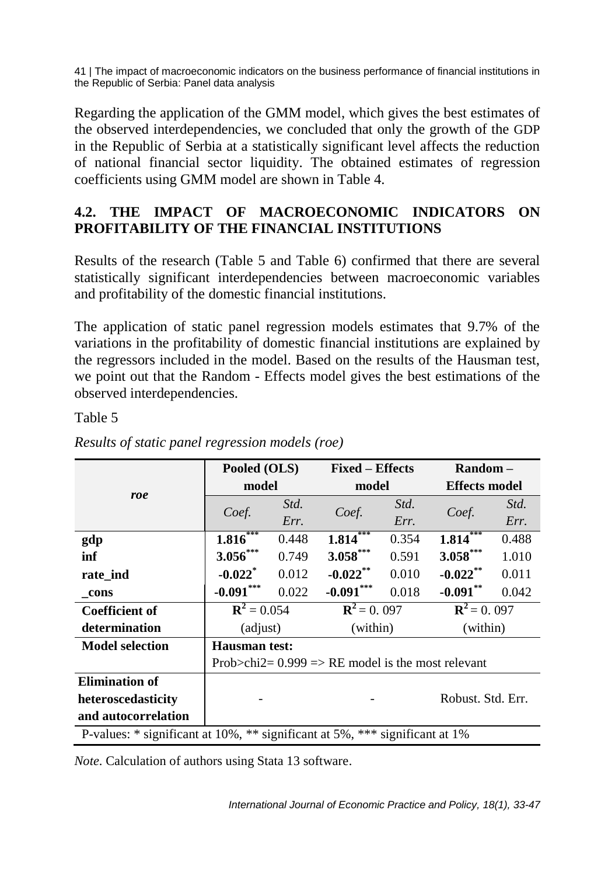Regarding the application of the GMM model, which gives the best estimates of the observed interdependencies, we concluded that only the growth of the GDP in the Republic of Serbia at a statistically significant level affects the reduction of national financial sector liquidity. The obtained estimates of regression coefficients using GMM model are shown in Table 4.

## **4.2. THE IMPACT OF MACROECONOMIC INDICATORS ON PROFITABILITY OF THE FINANCIAL INSTITUTIONS**

Results of the research (Table 5 and Table 6) confirmed that there are several statistically significant interdependencies between macroeconomic variables and profitability of the domestic financial institutions.

The application of static panel regression models estimates that 9.7% of the variations in the profitability of domestic financial institutions are explained by the regressors included in the model. Based on the results of the Hausman test, we point out that the Random - Effects model gives the best estimations of the observed interdependencies.

Table 5

|                                                                             | Pooled (OLS)                                        |       | <b>Fixed – Effects</b> |       | $\mathbf{Random} -$  |       |
|-----------------------------------------------------------------------------|-----------------------------------------------------|-------|------------------------|-------|----------------------|-------|
|                                                                             | model                                               |       | model                  |       | <b>Effects model</b> |       |
| roe                                                                         |                                                     | Std.  | Coef.                  | Std.  |                      | Std.  |
|                                                                             | Coef.                                               | Err.  |                        | Err.  | Coef.                | Err.  |
| gdp                                                                         | $1.816***$                                          | 0.448 | $1.814***$             | 0.354 | $1.814***$           | 0.488 |
| inf                                                                         | $3.056***$                                          | 0.749 | $3.058***$             | 0.591 | $3.058***$           | 1.010 |
| rate ind                                                                    | $-0.022$ <sup>*</sup>                               | 0.012 | $-0.022$ **            | 0.010 | $-0.022$ **          | 0.011 |
| cons                                                                        | $-0.091***$                                         | 0.022 | $-0.091***$            | 0.018 | $-0.091***$          | 0.042 |
| <b>Coefficient of</b>                                                       | ${\bf R}^2 = 0.054$                                 |       | ${\bf R}^2 = 0.097$    |       | ${\bf R}^2 = 0.097$  |       |
| determination                                                               | (adjust)                                            |       | (within)               |       | (within)             |       |
| <b>Model selection</b>                                                      | <b>Hausman test:</b>                                |       |                        |       |                      |       |
|                                                                             | Prob>chi2= $0.999$ => RE model is the most relevant |       |                        |       |                      |       |
| <b>Elimination of</b>                                                       |                                                     |       |                        |       |                      |       |
| heteroscedasticity                                                          |                                                     |       |                        |       | Robust, Std. Err.    |       |
| and autocorrelation                                                         |                                                     |       |                        |       |                      |       |
| P-values: * significant at 10%, ** significant at 5%, *** significant at 1% |                                                     |       |                        |       |                      |       |

*Results of static panel regression models (roe)*

*Note*. Calculation of authors using Stata 13 software.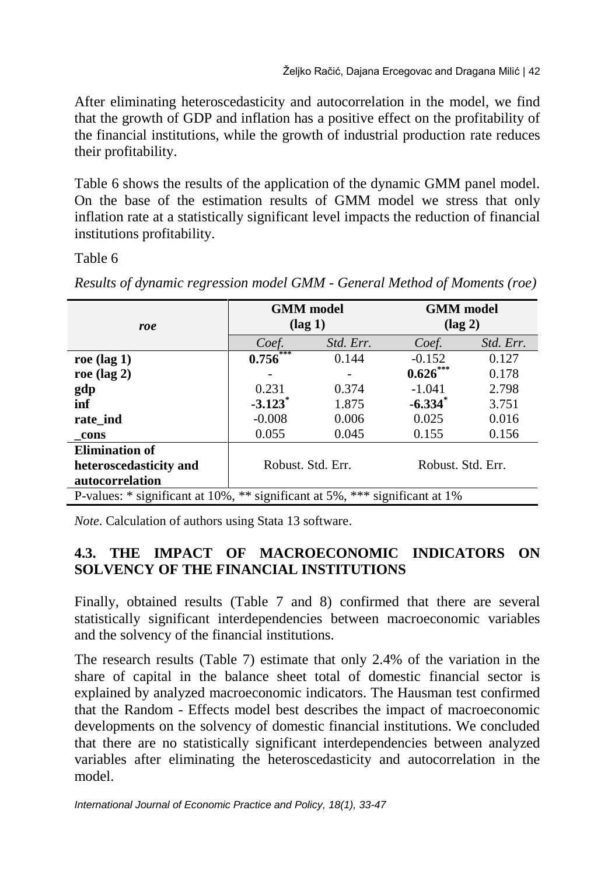After eliminating heteroscedasticity and autocorrelation in the model, we find that the growth of GDP and inflation has a positive effect on the profitability of the financial institutions, while the growth of industrial production rate reduces their profitability.

Table 6 shows the results of the application of the dynamic GMM panel model. On the base of the estimation results of GMM model we stress that only inflation rate at a statistically significant level impacts the reduction of financial institutions profitability.

Table 6

|                                                                                   | <b>GMM</b> model       |           | <b>GMM</b> model  |           |  |
|-----------------------------------------------------------------------------------|------------------------|-----------|-------------------|-----------|--|
| roe                                                                               | $(\text{lag } 1)$      |           | $(\text{lag } 2)$ |           |  |
|                                                                                   | Coef.                  | Std. Err. | Coef.             | Std. Err. |  |
| roe $(\text{lag } 1)$                                                             | $0.756$ <sup>***</sup> | 0.144     | $-0.152$          | 0.127     |  |
| roe $(\text{lag } 2)$                                                             |                        |           | $0.626***$        | 0.178     |  |
| gdp                                                                               | 0.231                  | 0.374     | $-1.041$          | 2.798     |  |
| inf                                                                               | $-3.123$ <sup>*</sup>  | 1.875     | $-6.334$ *        | 3.751     |  |
| rate ind                                                                          | $-0.008$               | 0.006     | 0.025             | 0.016     |  |
| cons                                                                              | 0.055                  | 0.045     | 0.155             | 0.156     |  |
| <b>Elimination of</b>                                                             |                        |           |                   |           |  |
| heteroscedasticity and                                                            | Robust, Std. Err.      |           | Robust, Std. Err. |           |  |
| autocorrelation                                                                   |                        |           |                   |           |  |
| P-values: $*$ significant at 10%, $**$ significant at 5%, $***$ significant at 1% |                        |           |                   |           |  |

*Results of dynamic regression model GMM - General Method of Moments (roe)* 

*Note*. Calculation of authors using Stata 13 software.

## **4.3. THE IMPACT OF MACROECONOMIC INDICATORS ON SOLVENCY OF THE FINANCIAL INSTITUTIONS**

Finally, obtained results (Table 7 and 8) confirmed that there are several statistically significant interdependencies between macroeconomic variables and the solvency of the financial institutions.

The research results (Table 7) estimate that only 2.4% of the variation in the share of capital in the balance sheet total of domestic financial sector is explained by analyzed macroeconomic indicators. The Hausman test confirmed that the Random - Effects model best describes the impact of macroeconomic developments on the solvency of domestic financial institutions. We concluded that there are no statistically significant interdependencies between analyzed variables after eliminating the heteroscedasticity and autocorrelation in the model.

*International Journal of Economic Practice and Policy, 18(1), 33-47*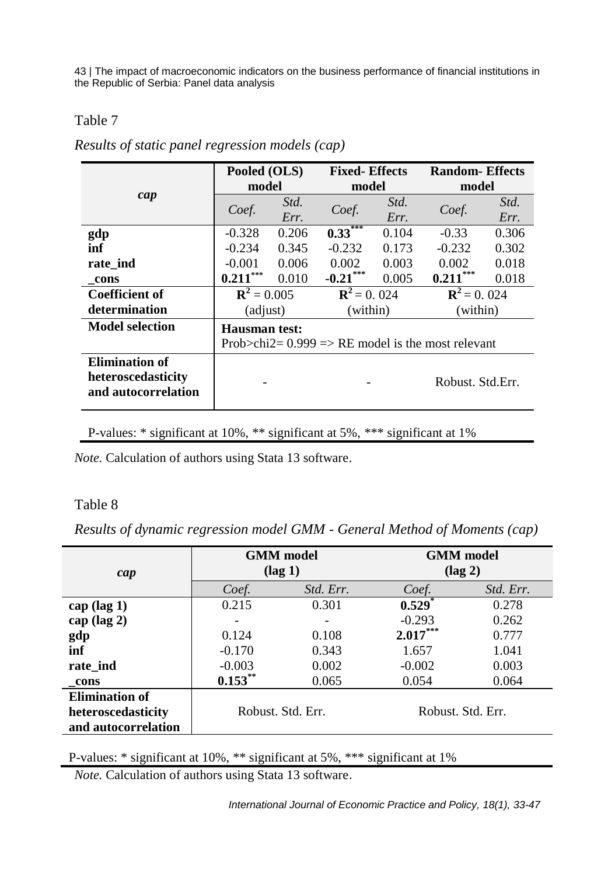#### Table 7

|  |  | Results of static panel regression models (cap) |  |
|--|--|-------------------------------------------------|--|
|  |  |                                                 |  |

|                        | Pooled (OLS)                                          |       | <b>Fixed-Effects</b> |       | <b>Random-Effects</b> |       |
|------------------------|-------------------------------------------------------|-------|----------------------|-------|-----------------------|-------|
|                        | model                                                 |       | model                |       | model                 |       |
| cap                    | Coef.                                                 | Std.  |                      | Std.  | Coef.                 | Std.  |
|                        |                                                       | Err.  | Coef.                | Err.  |                       | Err.  |
| gdp                    | $-0.328$                                              | 0.206 | $0.33***$            | 0.104 | $-0.33$               | 0.306 |
| inf                    | $-0.234$                                              | 0.345 | $-0.232$             | 0.173 | $-0.232$              | 0.302 |
| rate ind               | $-0.001$                                              | 0.006 | 0.002                | 0.003 | 0.002                 | 0.018 |
| cons                   | $0.211***$                                            | 0.010 | $-0.21$ ***          | 0.005 | $0.211***$            | 0.018 |
| <b>Coefficient of</b>  | ${\bf R}^2 = 0.005$                                   |       | ${\bf R}^2 = 0.024$  |       | ${\bf R}^2 = 0.024$   |       |
| determination          | (adjust)                                              |       | (within)             |       | (within)              |       |
| <b>Model selection</b> | Hausman test:                                         |       |                      |       |                       |       |
|                        | Prob $>$ chi2= 0.999 => RE model is the most relevant |       |                      |       |                       |       |
| <b>Elimination of</b>  |                                                       |       |                      |       |                       |       |
| heteroscedasticity     |                                                       |       |                      |       | Robust, Std.Err.      |       |
| and autocorrelation    |                                                       |       |                      |       |                       |       |

P-values: \* significant at 10%, \*\* significant at 5%, \*\*\* significant at 1%

*Note.* Calculation of authors using Stata 13 software.

#### Table 8

*Results of dynamic regression model GMM - General Method of Moments (cap)* 

| cap                   |                     | <b>GMM</b> model<br>$(\text{lag } 1)$  | <b>GMM</b> model<br>$(\text{lag } 2)$ |           |  |
|-----------------------|---------------------|----------------------------------------|---------------------------------------|-----------|--|
|                       | Coef.               | Std. Err.                              | Coef.                                 | Std. Err. |  |
| cap $(\text{lag } 1)$ | 0.215               | 0.301                                  | 0.529                                 | 0.278     |  |
| cap $(\text{lag } 2)$ |                     |                                        |                                       | 0.262     |  |
| gdp                   | 0.124               | 0.108                                  |                                       | 0.777     |  |
| inf                   | $-0.170$            | 0.343                                  | 1.657                                 | 1.041     |  |
| rate ind              | $-0.003$            | 0.002                                  | $-0.002$                              | 0.003     |  |
| cons                  | $0.153***$<br>0.065 |                                        | 0.054                                 | 0.064     |  |
| <b>Elimination of</b> |                     |                                        |                                       |           |  |
| heteroscedasticity    |                     | Robust, Std. Err.<br>Robust, Std. Err. |                                       |           |  |
| and autocorrelation   |                     |                                        |                                       |           |  |

P-values: \* significant at 10%, \*\* significant at 5%, \*\*\* significant at 1%

*Note.* Calculation of authors using Stata 13 software.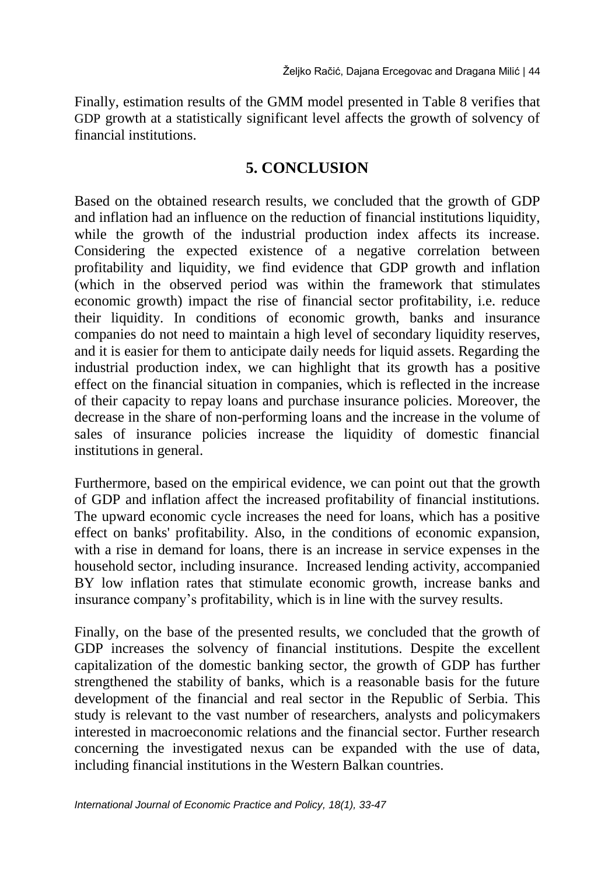Finally, estimation results of the GMM model presented in Table 8 verifies that GDP growth at a statistically significant level affects the growth of solvency of financial institutions.

### **5. CONCLUSION**

Based on the obtained research results, we concluded that the growth of GDP and inflation had an influence on the reduction of financial institutions liquidity, while the growth of the industrial production index affects its increase. Considering the expected existence of a negative correlation between profitability and liquidity, we find evidence that GDP growth and inflation (which in the observed period was within the framework that stimulates economic growth) impact the rise of financial sector profitability, i.e. reduce their liquidity. In conditions of economic growth, banks and insurance companies do not need to maintain a high level of secondary liquidity reserves, and it is easier for them to anticipate daily needs for liquid assets. Regarding the industrial production index, we can highlight that its growth has a positive effect on the financial situation in companies, which is reflected in the increase of their capacity to repay loans and purchase insurance policies. Moreover, the decrease in the share of non-performing loans and the increase in the volume of sales of insurance policies increase the liquidity of domestic financial institutions in general.

Furthermore, based on the empirical evidence, we can point out that the growth of GDP and inflation affect the increased profitability of financial institutions. The upward economic cycle increases the need for loans, which has a positive effect on banks' profitability. Also, in the conditions of economic expansion, with a rise in demand for loans, there is an increase in service expenses in the household sector, including insurance. Increased lending activity, accompanied BY low inflation rates that stimulate economic growth, increase banks and insurance company's profitability, which is in line with the survey results.

Finally, on the base of the presented results, we concluded that the growth of GDP increases the solvency of financial institutions. Despite the excellent capitalization of the domestic banking sector, the growth of GDP has further strengthened the stability of banks, which is a reasonable basis for the future development of the financial and real sector in the Republic of Serbia. This study is relevant to the vast number of researchers, analysts and policymakers interested in macroeconomic relations and the financial sector. Further research concerning the investigated nexus can be expanded with the use of data, including financial institutions in the Western Balkan countries.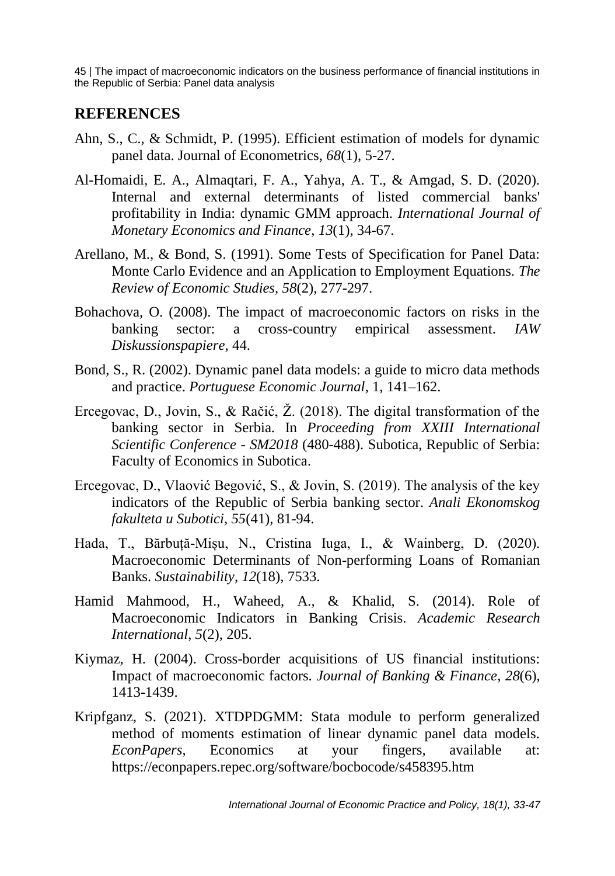#### **REFERENCES**

- Ahn, S., C., & Schmidt, P. (1995). Efficient estimation of models for dynamic panel data. Journal of Econometrics, *68*(1), 5-27.
- Al-Homaidi, E. A., Almaqtari, F. A., Yahya, A. T., & Amgad, S. D. (2020). Internal and external determinants of listed commercial banks' profitability in India: dynamic GMM approach. *International Journal of Monetary Economics and Finance*, *13*(1), 34-67.
- Arellano, M., & Bond, S. (1991). Some Tests of Specification for Panel Data: Monte Carlo Evidence and an Application to Employment Equations. *The Review of Economic Studies, 58*(2), 277-297.
- Bohachova, O. (2008). The impact of macroeconomic factors on risks in the banking sector: a cross-country empirical assessment. *IAW Diskussionspapiere,* 44.
- Bond, S., R. (2002). Dynamic panel data models: a guide to micro data methods and practice. *Portuguese Economic Journal*, 1, 141–162.
- Ercegovac, D., Jovin, S., & Račić, Ž. (2018). The digital transformation of the banking sector in Serbia. In *Proceeding from XXIII International Scientific Conference - SM2018* (480-488). Subotica, Republic of Serbia: Faculty of Economics in Subotica.
- Ercegovac, D., Vlaović Begović, S., & Jovin, S. (2019). Тhe analysis of the key indicators of the Republic of Serbia banking sector. *Anali Ekonomskog fakulteta u Subotici, 55*(41), 81-94.
- Hada, T., Bărbuță-Mișu, N., Cristina Iuga, I., & Wainberg, D. (2020). Macroeconomic Determinants of Non-performing Loans of Romanian Banks. *Sustainability*, *12*(18), 7533.
- Hamid Mahmood, H., Waheed, A., & Khalid, S. (2014). Role of Macroeconomic Indicators in Banking Crisis. *Academic Research International*, *5*(2), 205.
- Kiymaz, H. (2004). Cross-border acquisitions of US financial institutions: Impact of macroeconomic factors. *Journal of Banking & Finance*, *28*(6), 1413-1439.
- Kripfganz, S. (2021). XTDPDGMM: Stata module to perform generalized method of moments estimation of linear dynamic panel data models. *EconPapers*, Economics at your fingers, available at: https://econpapers.repec.org/software/bocbocode/s458395.htm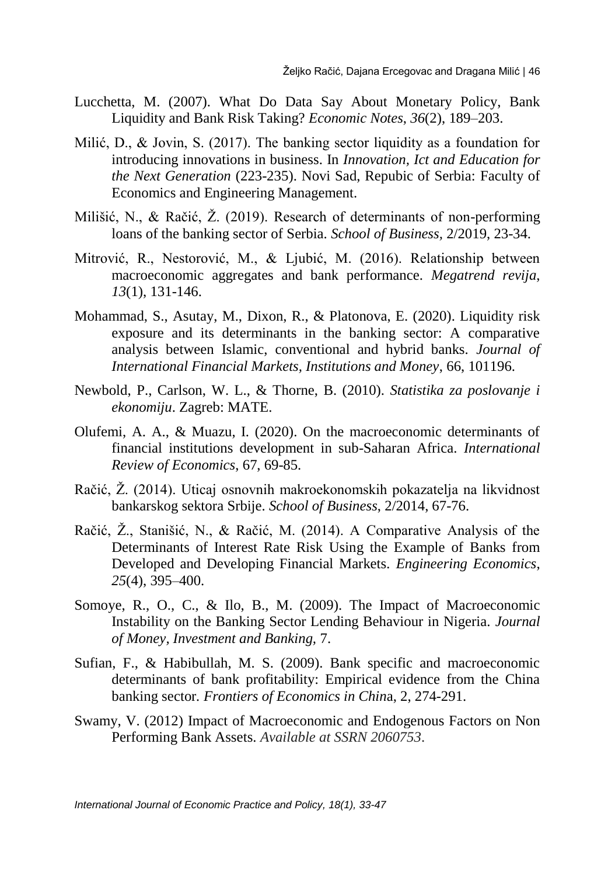- Lucchetta, M. (2007). What Do Data Say About Monetary Policy, Bank Liquidity and Bank Risk Taking? *Economic Notes*, *36*(2), 189–203.
- Milić, D., & Jovin, S. (2017). The banking sector liquidity as a foundation for introducing innovations in business. In *Innovation, Ict and Education for the Next Generation* (223-235). Novi Sad, Repubic of Serbia: Faculty of Economics and Engineering Management.
- Milišić, N., & Račić, Ž. (2019). Research of determinants of non-performing loans of the banking sector of Serbia. *School of Business,* 2/2019, 23-34.
- Mitrović, R., Nestorović, M., & Ljubić, M. (2016). Relationship between macroeconomic aggregates and bank performance. *Megatrend revija*, *13*(1), 131-146.
- Mohammad, S., Asutay, M., Dixon, R., & Platonova, E. (2020). Liquidity risk exposure and its determinants in the banking sector: A comparative analysis between Islamic, conventional and hybrid banks. *Journal of International Financial Markets, Institutions and Money*, 66, 101196.
- Newbold, P., Carlson, W. L., & Thorne, B. (2010). *Statistika za poslovanje i ekonomiju*. Zagreb: MATE.
- Olufemi, A. A., & Muazu, I. (2020). On the macroeconomic determinants of financial institutions development in sub-Saharan Africa. *International Review of Economics*, 67, 69-85.
- Račić, Ž. (2014). Uticaj osnovnih makroekonomskih pokazatelja na likvidnost bankarskog sektora Srbije. *School of Business*, 2/2014, 67-76.
- Račić, Ž., Stanišić, N., & Račić, M. (2014). A Comparative Analysis of the Determinants of Interest Rate Risk Using the Example of Banks from Developed and Developing Financial Markets*. Engineering Economics*, *25*(4), 395–400.
- Somoye, R., O., C., & Ilo, B., M. (2009). The Impact of Macroeconomic Instability on the Banking Sector Lending Behaviour in Nigeria. *Journal of Money, Investment and Banking,* 7.
- Sufian, F., & Habibullah, M. S. (2009). Bank specific and macroeconomic determinants of bank profitability: Empirical evidence from the China banking sector*. Frontiers of Economics in Chin*a, 2, 274-291.
- Swamy, V. (2012) Impact of Macroeconomic and Endogenous Factors on Non Performing Bank Assets. *Available at SSRN 2060753*.